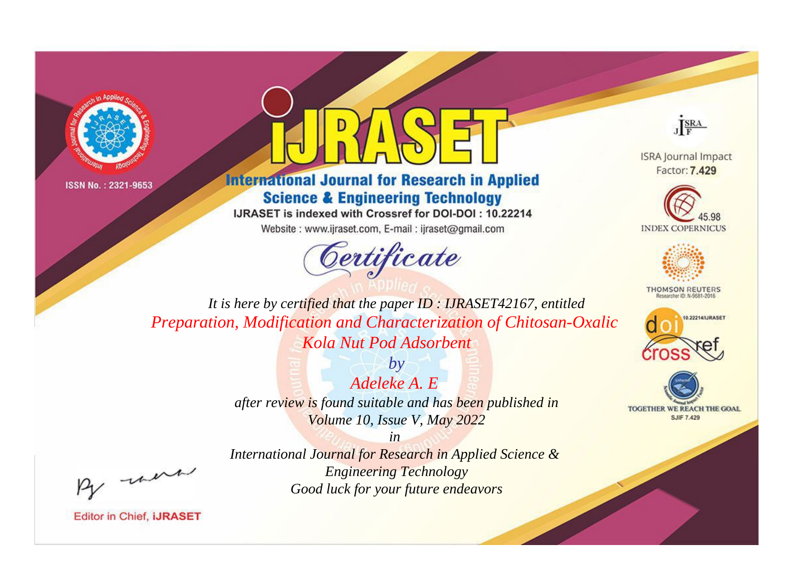



**International Journal for Research in Applied Science & Engineering Technology** 

IJRASET is indexed with Crossref for DOI-DOI: 10.22214

Website: www.ijraset.com, E-mail: ijraset@gmail.com





**ISRA Journal Impact** Factor: 7.429





**THOMSON REUTERS** 



TOGETHER WE REACH THE GOAL **SJIF 7.429** 

*It is here by certified that the paper ID : IJRASET42167, entitled Preparation, Modification and Characterization of Chitosan-Oxalic Kola Nut Pod Adsorbent*

> *Adeleke A. E after review is found suitable and has been published in Volume 10, Issue V, May 2022*

*by*

, un

*International Journal for Research in Applied Science & Engineering Technology Good luck for your future endeavors*

*in*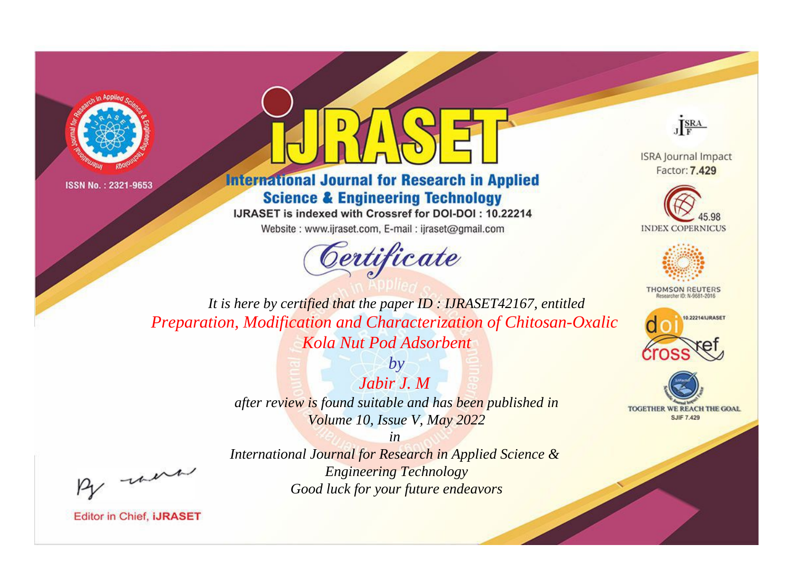



**International Journal for Research in Applied Science & Engineering Technology** 

IJRASET is indexed with Crossref for DOI-DOI: 10.22214

Website: www.ijraset.com, E-mail: ijraset@gmail.com





**ISRA Journal Impact** Factor: 7.429





**THOMSON REUTERS** 



TOGETHER WE REACH THE GOAL **SJIF 7.429** 

*It is here by certified that the paper ID : IJRASET42167, entitled Preparation, Modification and Characterization of Chitosan-Oxalic Kola Nut Pod Adsorbent*

> *Jabir J. M after review is found suitable and has been published in Volume 10, Issue V, May 2022*

> > *in*

*by*

, un

*International Journal for Research in Applied Science & Engineering Technology Good luck for your future endeavors*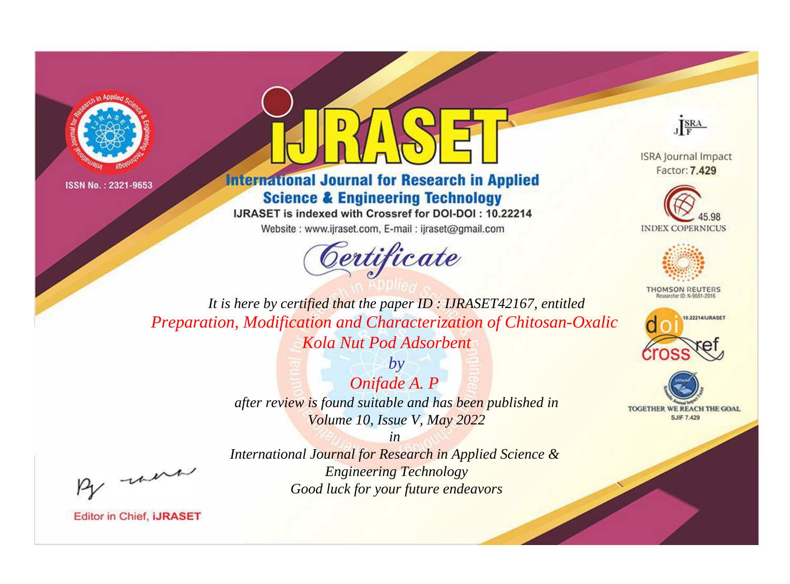



**International Journal for Research in Applied Science & Engineering Technology** 

IJRASET is indexed with Crossref for DOI-DOI: 10.22214

Website: www.ijraset.com, E-mail: ijraset@gmail.com



JERA

**ISRA Journal Impact** Factor: 7.429





**THOMSON REUTERS** 



TOGETHER WE REACH THE GOAL **SJIF 7.429** 

It is here by certified that the paper ID: IJRASET42167, entitled Preparation, Modification and Characterization of Chitosan-Oxalic Kola Nut Pod Adsorbent

> Onifade A. P after review is found suitable and has been published in Volume 10, Issue V, May 2022

 $b\nu$ 

were

International Journal for Research in Applied Science & **Engineering Technology** Good luck for your future endeavors

 $in$